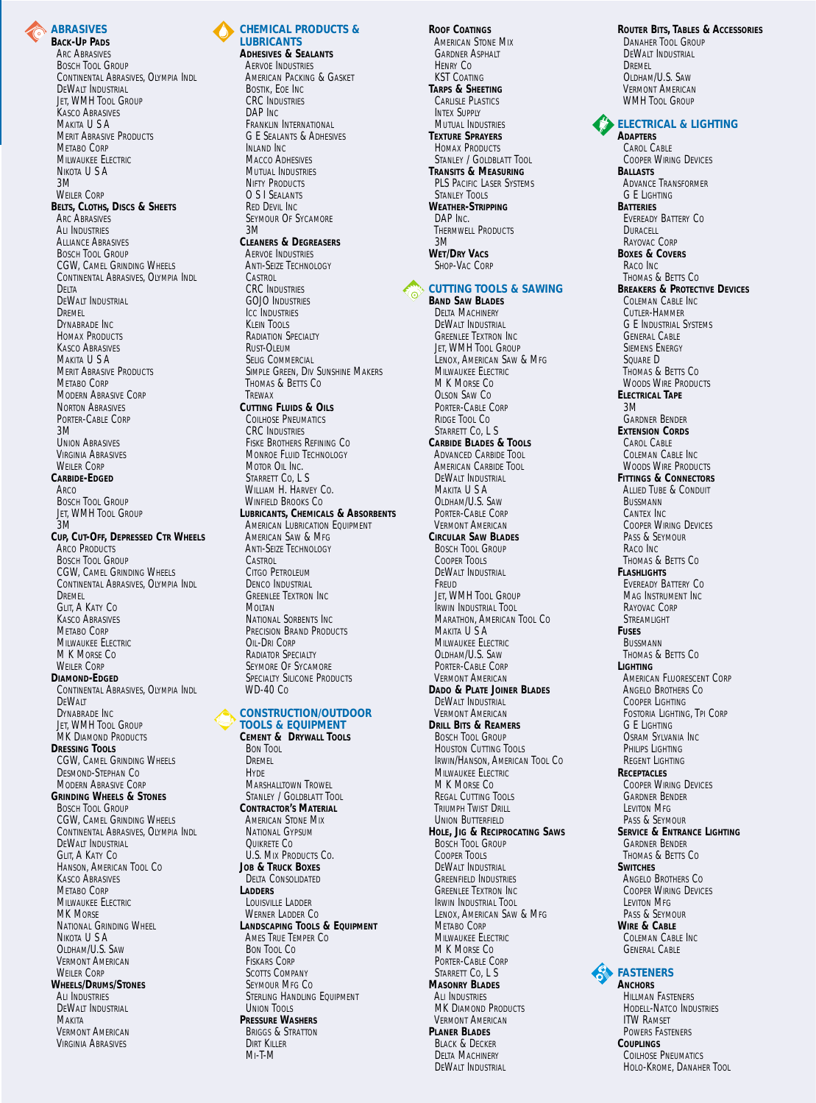**ABRASIVES BACK-UP PADS ARC ABRASIVES** BOSCH TOOL GROUP CONTINENTAL ABRASIVES, OLYMPIA INDL DEWALT INDUSTRIAL JET, WMH TOOL GROUP KASCO ABRASIVES MAKITA U S A **MERIT ABRASIVE PRODUCTS** METABO CORP **MILWAUKEE ELECTRIC** NIKOTA U S A 3M WEILER CORP **BELTS, CLOTHS, DISCS & SHEETS** ARC ABRASIVES **ALL INDUSTRIES** ALLIANCE ABRASIVES BOSCH TOOL GROUP CGW, CAMEL GRINDING WHEELS CONTINENTAL ABRASIVES, OLYMPIA INDL **DELTA** DEWALT INDUSTRIAL DREMEL DYNABRADE INC. HOMAX PRODUCTS KASCO ABRASIVES MAKITA U S A **MERIT ABRASIVE PRODUCTS** METABO CORP MODERN ABRASIVE CORP NORTON ABRASIVES PORTER-CABLE CORP 3M UNION ABRASIVES VIRGINIA ABRASIVES WEILER CORP **CARBIDE-EDGED** ARCO BOSCH TOOL GROUP JET, WMH TOOL GROUP 3M **CUP, CUT-OFF, DEPRESSED CTR WHEELS** ARCO PRODUCTS BOSCH TOOL GROUP CGW, CAMEL GRINDING WHEELS CONTINENTAL ABRASIVES, OLYMPIA INDL DREMEL GLIT, A KATY CO KASCO ABRASIVES METABO CORP MILWAUKEE ELECTRIC M K MORSE CO WEILER CORP **DIAMOND-EDGED** CONTINENTAL ABRASIVES, OLYMPIA INDL DEWALT DYNABRADE INC JET, WMH TOOL GROUP MK DIAMOND PRODUCTS **DRESSING TOOLS** CGW, CAMEL GRINDING WHEELS DESMOND-STEPHAN CO MODERN ABRASIVE CORP **GRINDING WHEELS & STONES** BOSCH TOOL GROUP CGW, CAMEL GRINDING WHEELS CONTINENTAL ABRASIVES, OLYMPIA INDL DEWALT INDUSTRIAL GLIT, A KATY CO HANSON, AMERICAN TOOL CO KASCO ABRASIVES METABO CORP

MILWALIKEE FLECTRIC MK MORSE

VERMONT AMERICAN VIRGINIA ABRASIVES

NATIONAL GRINDING WHEEL NIKOTA U S A OLDHAM/U.S. SAW VERMONT AMERICAN WEILER CORP **WHEELS/DRUMS/STONES ALI INDUSTRIES** DEWALT INDUSTRIAL **MAKITA** 

## **CHEMICAL PRODUCTS & LUBRICANTS**

**ADHESIVES & SEALANTS** AERVOE INDUSTRIES AMERICAN PACKING & GASKET BOSTIK, EOE INC CRC INDUSTRIES DAP INC FRANKLIN INTERNATIONAL G E SEALANTS & ADHESIVES INLAND INC MACCO ADHESIVES MUTUAL INDUSTRIES **NIFTY PRODUCTS** O S I SEALANTS RED DEVIL INC SEYMOUR OF SYCAMORE 3M

#### **CLEANERS & DEGREASERS**

AERVOE INDUSTRIES ANTI-SEIZE TECHNOLOGY **CASTROL** CRC INDUSTRIES GOJO INDUSTRIES **ICC INDUSTRIES** KLEIN TOOLS RADIATION SPECIALTY RUST-OLEUM **SELIG COMMERCIAL** SIMPLE GREEN, DIV SUNSHINE MAKERS THOMAS & BETTS CO TREWAX **CUTTING FLUIDS & OILS** COILHOSE PNEUMATICS CRC INDUSTRIES FISKE BROTHERS REFINING CO MONROE FLUID TECHNOLOGY MOTOR OIL INC. STARRETT CO, L S WILLIAM H. HARVEY CO. WINFIELD BROOKS CO **LUBRICANTS, CHEMICALS & ABSORBENTS** AMERICAN LUBRICATION EQUIPMENT AMERICAN SAW & MFG ANTI-SEIZE TECHNOLOGY CASTROL CITGO PETROLEUM DENCO INDUSTRIAL GREENLEE TEXTRON INC **MOLTAN** NATIONAL SORBENTS INC PRECISION BRAND PRODUCTS OIL-DRI CORP RADIATOR SPECIALTY SEYMORE OF SYCAMORE **SPECIALTY SILICONE PRODUCTS** 

#### **CONSTRUCTION/OUTDOOR TOOLS & EQUIPMENT**

WD-40 CO

**CEMENT & DRYWALL TOOLS** BON TOOL DREMEL **HYDE** MARSHALLTOWN TROWEL STANLEY / GOLDBLATT TOOL **CONTRACTOR'S MATERIAL** AMERICAN STONE MIX NATIONAL GYPSUM QUIKRETE CO U.S. MIX PRODUCTS CO. **JOB & TRUCK BOXES** DELTA CONSOLIDATED **LADDERS** LOUISVILLE LADDER WERNER LADDER CO **LANDSCAPING TOOLS & EQUIPMENT** AMES TRUE TEMPER CO BON TOOL CO FISKARS CORP SCOTTS COMPANY SEYMOUR MFG CO STERLING HANDLING EQUIPMENT UNION TOOLS **PRESSURE WASHERS** BRIGGS & STRATTON DIRT KILLER MI-T-M

## **ROOF COATINGS**

AMERICAN STONE MIX GARDNER ASPHALT HENRY CO KST COATING **TARPS & SHEETING** CARLISLE PLASTICS INTEX SUPPLY **MUTUAL INDUSTRIES TEXTURE SPRAYERS** HOMAX PRODUCTS STANLEY / GOLDBLATT TOOL **TRANSITS & MEASURING** PLS PACIFIC LASER SYSTEMS STANLEY TOOLS **WEATHER-STRIPPING** DAP Inc. THERMWELL PRODUCTS 3M **WET/DRY VACS** SHOP-VAC CORP

# **CUTTING TOOLS & SAWING**

**BAND SAW BLADES** DELTA MACHINERY DEWALT INDUSTRIAL GREENLEE TEXTRON INC JET, WMH TOOL GROUP LENOX, AMERICAN SAW & MFG MILWAUKEE ELECTRIC M K MORSE CO OLSON SAW CO PORTER-CABLE CORP RIDGE TOOL CO STARRETT CO, L S **CARBIDE BLADES & TOOLS** ADVANCED CARBIDE TOOL AMERICAN CARBIDE TOOL DEWALT INDUSTRIAL MAKITA U S A OLDHAM/U.S. SAW PORTER-CABLE CORP VERMONT AMERICAN **CIRCULAR SAW BLADES** BOSCH TOOL GROUP COOPER TOOLS DEWALT INDUSTRIAL **FREUD** JET, WMH TOOL GROUP IRWIN INDUSTRIAL TOOL MARATHON, AMERICAN TOOL CO MAKITA U S A **MILWAUKEE ELECTRIC** OLDHAM/U.S. SAW PORTER-CABLE CORP VERMONT AMERICAN **DADO & PLATE JOINER BLADES** DEWALT INDUSTRIAL VERMONT AMERICAN **DRILL BITS & REAMERS** BOSCH TOOL GROUP HOUSTON CUTTING TOOLS IRWIN/HANSON, AMERICAN TOOL CO MILWAUKEE ELECTRIC M K MORSE CO REGAL CUTTING TOOLS TRIUMPH TWIST DRILL UNION BUTTERFIELD **HOLE, JIG & RECIPROCATING SAWS** BOSCH TOOL GROUP COOPER TOOLS DEWALT INDUSTRIAL GREENFIELD INDUSTRIES GREENLEE TEXTRON INC IRWIN INDUSTRIAL TOOL LENOX, AMERICAN SAW & MFG METABO CORP MILWAUKEE ELECTRIC M K MORSE CO PORTER-CABLE CORP STARRETT CO, L S **MASONRY BLADES** ALI INDUSTRIES MK DIAMOND PRODUCTS VERMONT AMERICAN **PLANER BLADES** BLACK & DECKER **DELTA MACHINERY** DEWALT INDUSTRIAL

# **ROUTER BITS, TABLES & ACCESSORIES**

DANAHER TOOL GROUP DEWALT INDUSTRIAL DREMEL OLDHAM/U.S. SAW VERMONT AMERICAN WMH TOOL GROUP

#### **ELECTRICAL & LIGHTING ADAPTERS**

CAROL CABLE **COOPER WIRING DEVICES BALLASTS** ADVANCE TRANSFORMER G E LIGHTING **BATTERIES** EVEREADY BATTERY CO **DURACELL** RAYOVAC CORP **BOXES & COVERS** RACO INC THOMAS & BETTS CO **BREAKERS & PROTECTIVE DEVICES** COLEMAN CABLE INC CUTLER-HAMMER G E INDUSTRIAL SYSTEMS GENERAL CABLE SIEMENS ENERGY SQUARE D THOMAS & BETTS CO WOODS WIRE PRODUCTS **ELECTRICAL TAPE** 3M GARDNER BENDER **EXTENSION CORDS** CAROL CABLE COLEMAN CABLE INC WOODS WIRE PRODUCTS **FITTINGS & CONNECTORS** ALLIED TUBE & CONDUIT BUSSMANN CANTEX INC COOPER WIRING DEVICES PASS & SEYMOUR RACO INC THOMAS & BETTS CO **FLASHLIGHTS** EVEREADY BATTERY CO MAG INSTRUMENT INC RAYOVAC CORP **STREAMLIGHT FUSES** BUSSMANN THOMAS & BETTS CO **LIGHTING** AMERICAN FLUORESCENT CORP ANGELO BROTHERS CO COOPER LIGHTING FOSTORIA LIGHTING, TPI CORP G E LIGHTING OSRAM SYLVANIA INC PHILIPS LIGHTING REGENT LIGHTING **RECEPTACLES** COOPER WIRING DEVICES GARDNER BENDER LEVITON MFG PASS & SEYMOUR **SERVICE & ENTRANCE LIGHTING** GARDNER BENDER THOMAS & BETTS CO **SWITCHES** ANGELO BROTHERS CO COOPER WIRING DEVICES LEVITON MFG PASS & SEYMOUR **WIRE & CABLE** COLEMAN CABLE INC GENERAL CABLE

## **EXP** FASTENERS

**ANCHORS** HILLMAN FASTENERS HODELL-NATCO INDUSTRIES **ITW RAMSET** POWERS FASTENERS **COUPLINGS** COILHOSE PNEUMATICS HOLO-KROME, DANAHER TOOL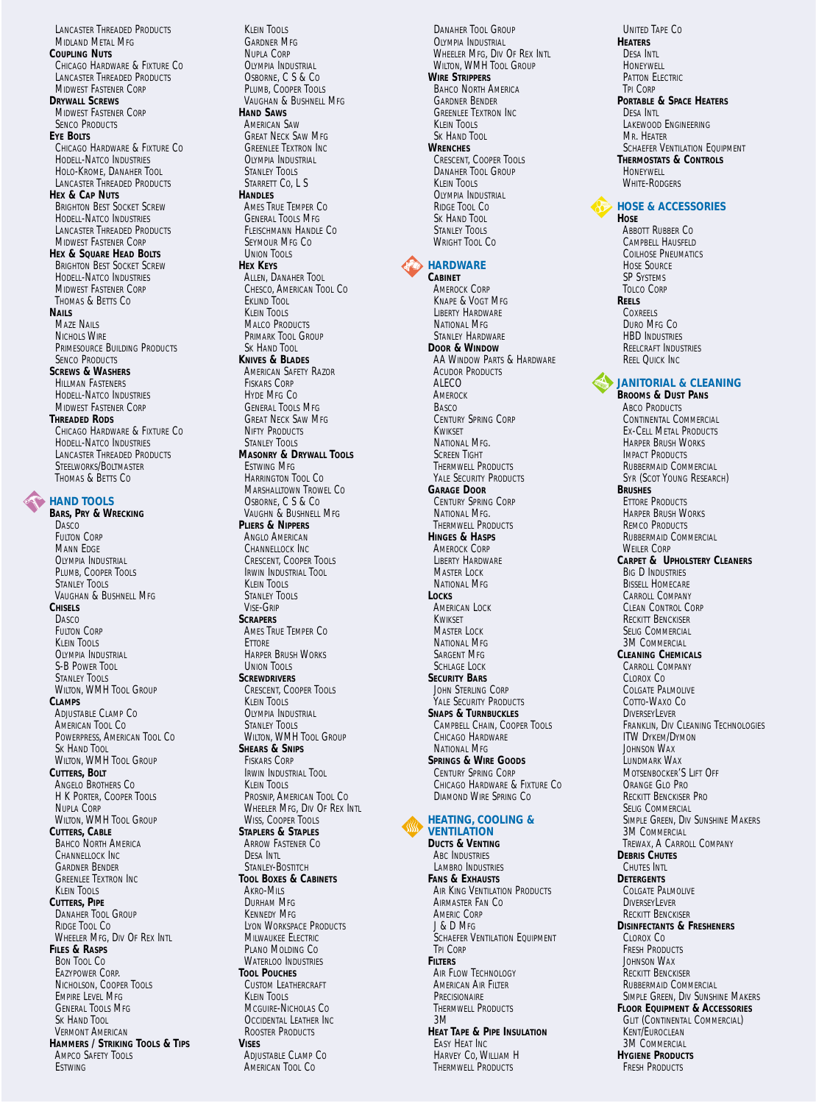LANCASTER THREADED PRODUCTS MIDLAND METAL MFG **COUPLING NUTS** CHICAGO HARDWARE & FIXTURE CO LANCASTER THREADED PRODUCTS MIDWEST FASTENER CORP **DRYWALL SCREWS** MIDWEST FASTENER CORP SENCO PRODUCTS **EYE BOLTS** CHICAGO HARDWARE & FIXTURE CO HODELL-NATCO INDUSTRIES HOLO-KROME, DANAHER TOOL LANCASTER THREADED PRODUCTS **HEX & CAP NUTS** BRIGHTON BEST SOCKET SCREW HODELL-NATCO INDUSTRIES LANCASTER THREADED PRODUCTS MIDWEST FASTENER CORP **HEX & SQUARE HEAD BOLTS** BRIGHTON BEST SOCKET SCREW HODELL-NATCO INDUSTRIES MIDWEST FASTENER CORP THOMAS & BETTS CO **NAILS MAZE NAILS** NICHOLS WIRE PRIMESOURCE BUILDING PRODUCTS SENCO PRODUCTS **SCREWS & WASHERS** HILLMAN FASTENERS HODELL-NATCO INDUSTRIES MIDWEST FASTENER CORP **THREADED RODS** CHICAGO HARDWARE & FIXTURE CO HODELL-NATCO INDUSTRIES LANCASTER THREADED PRODUCTS STEELWORKS/BOLTMASTER THOMAS & BETTS CO **HAND TOOLS BARS, PRY & WRECKING** DASCO FULTON CORP MANN EDGE OLYMPIA INDUSTRIAL PLUMB, COOPER TOOLS STANLEY TOOLS VAUGHAN & BUSHNELL MFG **CHISELS** DASCO FULTON CORP KLEIN TOOLS OLYMPIA INDUSTRIAL S-B POWER TOOL STANLEY TOOLS WILTON, WMH TOOL GROUP **CLAMPS** ADJUSTABLE CLAMP CO AMERICAN TOOL CO POWERPRESS, AMERICAN TOOL CO SK HAND TOOL WILTON, WMH TOOL GROUP **CUTTERS, BOLT** ANGELO BROTHERS CO H K PORTER, COOPER TOOLS NUPLA CORP WILTON, WMH TOOL GROUP **CUTTERS, CABLE** BAHCO NORTH AMERICA CHANNELLOCK INC GARDNER BENDER GREENLEE TEXTRON INC KLEIN TOOLS **CUTTERS, PIPE** DANAHER TOOL GROUP RIDGE TOOL CO WHEELER MFG, DIV OF REX INTL **FILES & RASPS** BON TOOL CO EAZYPOWER CORP. NICHOLSON, COOPER TOOLS EMPIRE LEVEL MFG GENERAL TOOLS MFG SK HAND TOOL VERMONT AMERICAN **HAMMERS / STRIKING TOOLS & TIPS** AMPCO SAFETY TOOLS

ESTWING

KLEIN TOOLS GARDNER MFG NUPLA CORP OLYMPIA INDUSTRIAL OSBORNE, C S & CO PLUMB, COOPER TOOLS VAUGHAN & BUSHNELL MFG **HAND SAWS** AMERICAN SAW GREAT NECK SAW MFG GREENLEE TEXTRON INC OLYMPIA INDUSTRIAL STANLEY TOOLS STARRETT CO, L S **HANDLES** AMES TRUE TEMPER CO GENERAL TOOLS MFG FLEISCHMANN HANDLE CO SEYMOUR MFG CO UNION TOOLS **HEX KEYS** ALLEN, DANAHER TOOL CHESCO, AMERICAN TOOL CO EKLIND TOOL KLEIN TOOLS MALCO PRODUCTS PRIMARK TOOL GROUP SK HAND TOOL **KNIVES & BLADES** AMERICAN SAFETY RAZOR FISKARS CORP HYDE MFG CO GENERAL TOOLS MFG GREAT NECK SAW MFG **NIFTY PRODUCTS** STANLEY TOOLS **MASONRY & DRYWALL TOOLS** ESTWING MFG HARRINGTON TOOL CO MARSHALLTOWN TROWEL CO OSBORNE, C S & CO VAUGHN & BUSHNELL MFG **PLIERS & NIPPERS** ANGLO AMERICAN CHANNELLOCK INC CRESCENT, COOPER TOOLS IRWIN INDUSTRIAL TOOL KLEIN TOOLS STANLEY TOOLS VISE-GRIP **SCRAPERS** AMES TRUE TEMPER CO **FTTORE** HARPER BRUSH WORKS UNION TOOLS **SCREWDRIVERS** CRESCENT, COOPER TOOLS KLEIN TOOLS OLYMPIA INDUSTRIAL STANLEY TOOLS WILTON, WMH TOOL GROUP **SHEARS & SNIPS** FISKARS CORP IRWIN INDUSTRIAL TOOL KLEIN TOOLS PROSNIP, AMERICAN TOOL CO WHEELER MFG, DIV OF REX INTL WISS, COOPER TOOLS **STAPLERS & STAPLES** ARROW FASTENER CO DESA INTL STANLEY-BOSTITCH **TOOL BOXES & CABINETS** AKRO-MILS DURHAM MFG KENNEDY MFG LYON WORKSPACE PRODUCTS MILWAUKEE ELECTRIC PLANO MOLDING CO WATERLOO INDUSTRIES **TOOL POUCHES** CUSTOM LEATHERCRAFT KLEIN TOOLS MCGUIRE-NICHOLAS CO OCCIDENTAL LEATHER INC ROOSTER PRODUCTS **VISES** ADJUSTABLE CLAMP CO. AMERICAN TOOL CO

DANAHER TOOL GROUP OLYMPIA INDUSTRIAL WHEELER MFG, DIV OF REX INTI WILTON, WMH TOOL GROUP **WIRE STRIPPERS** BAHCO NORTH AMERICA GARDNER BENDER **GREENLEE TEXTRON INC.** KLEIN TOOLS **SK HAND TOOL WRENCHES** CRESCENT, COOPER TOOLS DANAHER TOOL GROUP KLEIN TOOLS OLYMPIA INDUSTRIAL RIDGE TOOL CO SK HAND TOOL STANLEY TOOLS WRIGHT TOOL CO **HARDWARE CABINET** AMEROCK CORP KNAPE & VOGT MFG LIBERTY HARDWARE NATIONAL MFG STANLEY HARDWARE **DOOR & WINDOW** AA WINDOW PARTS & HARDWARE ACUDOR PRODUCTS ALECO **AMEROCK BASCO** CENTURY SPRING CORP KWIKSET NATIONAL MFG. **SCREEN TIGHT** THERMWELL PRODUCTS YALE SECURITY PRODUCTS **GARAGE DOOR** CENTURY SPRING CORP NATIONAL MFG. THERMWELL PRODUCTS **HINGES & HASPS** AMEROCK CORP LIBERTY HARDWARE MASTER LOCK NATIONAL MFG **LOCKS** AMERICAN LOCK **KWIKSET** MASTER LOCK NATIONAL MFG SARGENT MFG **SCHLAGE LOCK SECURITY BARS** JOHN STERLING CORP YALE SECURITY PRODUCTS **SNAPS & TURNBUCKLES** CAMPBELL CHAIN, COOPER TOOLS CHICAGO HARDWARE NATIONAL MFG **SPRINGS & WIRE GOODS** CENTURY SPRING CORP CHICAGO HARDWARE & FIXTURE CO DIAMOND WIRE SPRING CO **HEATING, COOLING & VENTILATION DUCTS & VENTING** ABC INDUSTRIES LAMBRO INDUSTRIES **FANS & EXHAUSTS** AIR KING VENTILATION PRODUCTS AIRMASTER FAN CO AMERIC CORP J & D MFG SCHAEFER VENTILATION EQUIPMENT TPI CORP **FILTERS** AIR FLOW TECHNOLOGY AMERICAN AIR FILTER **PRECISIONAIRE** THERMWELL PRODUCTS 3M **HEAT TAPE & PIPE INSULATION** EASY HEAT INC HARVEY CO, WILLIAM H THERMWELL PRODUCTS

UNITED TAPE CO **HEATERS** DESA INTL **HONEYWELL PATTON ELECTRIC** TPI CORP **PORTABLE & SPACE HEATERS** DESA INTL LAKEWOOD ENGINEERING MR. HEATER SCHAEFER VENTILATION EQUIPMENT **THERMOSTATS & CONTROLS HONEYWELL** WHITE-RODGERS **HOSE & ACCESSORIES** 



ABBOTT RUBBER CO CAMPBELL HAUSFELD COILHOSE PNEUMATICS HOSE SOURCE SP SYSTEMS TOLCO CORP **REELS COXREELS** DURO MFG CO HBD INDUSTRIES REELCRAFT INDUSTRIES REEL QUICK INC

## **JANITORIAL & CLEANING**

**BROOMS & DUST PANS** ABCO PRODUCTS CONTINENTAL COMMERCIAL EX-CELL METAL PRODUCTS HARPER BRUSH WORKS IMPACT PRODUCTS RUBBERMAID COMMERCIAL SYR (SCOT YOUNG RESEARCH) **BRUSHES** ETTORE PRODUCTS HARPER BRUSH WORKS REMCO PRODUCTS RUBBERMAID COMMERCIAL WEILER CORP **CARPET & UPHOLSTERY CLEANERS** BIG D INDUSTRIES BISSELL HOMECARE CARROLL COMPANY CLEAN CONTROL CORP RECKITT BENCKISER **SELIG COMMERCIAL** 3M COMMERCIAL **CLEANING CHEMICALS** CARROLL COMPANY CLOROX CO COLGATE PALMOLIVE COTTO-WAXO CO DIVERSEYLEVER FRANKLIN, DIV CLEANING TECHNOLOGIES ITW DYKEM/DYMON JOHNSON WAX LUNDMARK WAX MOTSENBOCKER'S LIFT OFF ORANGE GLO PRO RECKITT BENCKISER PRO **SELIG COMMERCIAL** SIMPLE GREEN, DIV SUNSHINE MAKERS 3M COMMERCIAL TREWAX, A CARROLL COMPANY **DEBRIS CHUTES** CHUTES INTL **DETERGENTS** COLGATE PALMOLIVE DIVERSEYLEVER RECKITT BENCKISER **DISINFECTANTS & FRESHENERS** CLOROX CO FRESH PRODUCTS **JOHNSON WAX** RECKITT BENCKISER RUBBERMAID COMMERCIAL SIMPLE GREEN, DIV SUNSHINE MAKERS **FLOOR EQUIPMENT & ACCESSORIES** GLIT (CONTINENTAL COMMERCIAL) KENT/EUROCLEAN 3M COMMERCIAL **HYGIENE PRODUCTS** FRESH PRODUCTS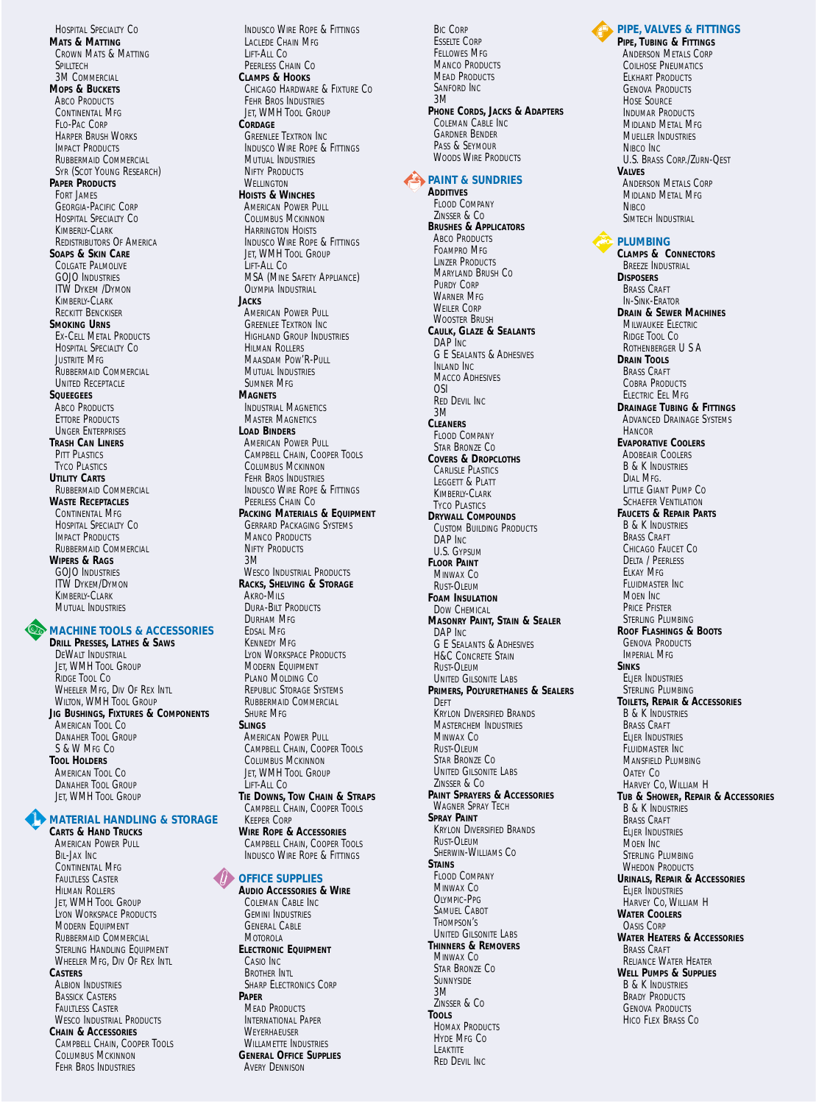HOSPITAL SPECIALTY CO **MATS & MATTING** CROWN MATS & MATTING SPILLTECH 3M COMMERCIAL **MOPS & BUCKETS** ABCO PRODUCTS CONTINENTAL MFG FLO-PAC CORP HARPER BRUSH WORKS **IMPACT PRODUCTS** RUBBERMAID COMMERCIAL SYR (SCOT YOUNG RESEARCH) **PAPER PRODUCTS** FORT JAMES GEORGIA-PACIFIC CORP HOSPITAL SPECIALTY CO KIMBERLY-CLARK REDISTRIBUTORS OF AMERICA **SOAPS & SKIN CARE** COLGATE PALMOLIVE GOJO INDUSTRIES **ITW DYKEM /DYMON** KIMBERLY-CLARK RECKITT BENCKISER **SMOKING URNS** EX-CELL METAL PRODUCTS HOSPITAL SPECIALTY CO JUSTRITE MFG RUBBERMAID COMMERCIAL UNITED RECEPTACLE **SQUEEGEES ABCO PRODUCTS** ETTORE PRODUCTS UNGER ENTERPRISES **TRASH CAN LINERS PITT PLASTICS TYCO PLASTICS UTILITY CARTS** RUBBERMAID COMMERCIAL **WASTE RECEPTACLES** CONTINENTAL MFG HOSPITAL SPECIALTY CO IMPACT PRODUCTS RUBBERMAID COMMERCIAL **WIPERS & RAGS** GOJO INDUSTRIES ITW DYKEM/DYMON KIMBERLY-CLARK MUTUAL INDUSTRIES **WACHINE TOOLS & ACCESSORIES DRILL PRESSES, LATHES & SAWS** DEWALT INDUSTRIAL JET, WMH TOOL GROUP RIDGE TOOL CO WHEELER MFG, DIV OF REX INTL WILTON, WMH TOOL GROUP **JIG BUSHINGS, FIXTURES & COMPONENTS** AMERICAN TOOL CO DANAHER TOOL GROUP S & W MFG CO **TOOL HOLDERS** AMERICAN TOOL CO DANAHER TOOL GROUP

## **MATERIAL HANDLING & STORAGE**

JET, WMH TOOL GROUP

**CARTS & HAND TRUCKS** AMERICAN POWER PULL BIL-JAX INC CONTINENTAL MFG FAULTLESS CASTER HILMAN ROLLERS JET, WMH TOOL GROUP LYON WORKSPACE PRODUCTS MODERN EQUIPMENT RUBBERMAID COMMERCIAL STERLING HANDLING EQUIPMENT WHEELER MFG, DIV OF REX INTL **CASTERS** ALBION INDUSTRIES **BASSICK CASTERS** FAULTLESS CASTER WESCO INDUSTRIAL PRODUCTS **CHAIN & ACCESSORIES** CAMPBELL CHAIN, COOPER TOOLS COLUMBUS MCKINNON FEHR BROS INDUSTRIES

INDUSCO WIRE ROPE & FITTINGS LACLEDE CHAIN MFG LIFT-ALL CO. PEERLESS CHAIN CO **CLAMPS & HOOKS** CHICAGO HARDWARE & FIXTURE CO FEHR BROS INDUSTRIES JET, WMH TOOL GROUP **CORDAGE** GREENLEE TEXTRON INC INDUSCO WIRE ROPE & FITTINGS MUTUAL INDUSTRIES **NIFTY PRODUCTS WELLINGTON HOISTS & WINCHES** AMERICAN POWER PULL COLUMBUS MCKINNON HARRINGTON HOISTS INDUSCO WIRE ROPE & FITTINGS JET, WMH TOOL GROUP LIFT-ALL CO MSA (MINE SAFETY APPLIANCE) OLYMPIA INDUSTRIAL **JACKS** AMERICAN POWER PULL GREENLEE TEXTRON INC HIGHLAND GROUP INDUSTRIES HILMAN ROLLERS MAASDAM POW'R-PULL MUTUAL INDUSTRIES SUMNER MFG **MAGNETS** INDUSTRIAL MAGNETICS **MASTER MAGNETICS LOAD BINDERS** AMERICAN POWER PULL CAMPBELL CHAIN, COOPER TOOLS COLUMBUS MCKINNON FEHR BROS INDUSTRIES INDUSCO WIRE ROPE & FITTINGS PEERLESS CHAIN CO **PACKING MATERIALS & EQUIPMENT** GERRARD PACKAGING SYSTEMS MANCO PRODUCTS **NIFTY PRODUCTS** 3M WESCO INDUSTRIAL PRODUCTS **RACKS, SHELVING & STORAGE** AKRO-MILS DURA-BILT PRODUCTS DURHAM MFG EDSAL MFG KENNEDY MFG LYON WORKSPACE PRODUCTS MODERN EQUIPMENT PLANO MOLDING CO. REPUBLIC STORAGE SYSTEMS RUBBERMAID COMMERCIAL SHURE MFG **SLINGS** AMERICAN POWER PULL CAMPBELL CHAIN, COOPER TOOLS COLUMBUS MCKINNON JET, WMH TOOL GROUP LIFT-ALL CO **TIE DOWNS, TOW CHAIN & STRAPS** CAMPBELL CHAIN, COOPER TOOLS KEEPER CORP **WIRE ROPE & ACCESSORIES** CAMPBELL CHAIN, COOPER TOOLS INDUSCO WIRE ROPE & FITTINGS **OFFICE SUPPLIES AUDIO ACCESSORIES & WIRE** COLEMAN CABLE INC. **GEMINI INDUSTRIES** GENERAL CABLE MOTOROLA **ELECTRONIC EQUIPMENT** CASIO INC BROTHER INTL SHARP ELECTRONICS CORP **PAPER** MEAD PRODUCTS INTERNATIONAL PAPER

WEYERHAEUSER WILLAMETTE INDUSTRIES **GENERAL OFFICE SUPPLIES** AVERY DENNISON

BIC CORP ESSELTE CORP FELLOWES MFG MANCO PRODUCTS MEAD PRODUCTS SANFORD INC 3M **PHONE CORDS, JACKS & ADAPTERS** COLEMAN CABLE INC GARDNER BENDER PASS & SEYMOUR WOODS WIRE PRODUCTS **PAINT & SUNDRIES ADDITIVES** FLOOD COMPANY ZINSSER & CO **BRUSHES & APPLICATORS** ABCO PRODUCTS FOAMPRO MFG LINZER PRODUCTS MARYLAND BRUSH CO PURDY CORP WARNER MFG WEILER CORP WOOSTER BRUSH **CAULK, GLAZE & SEALANTS** DAP INC G E SEALANTS & ADHESIVES INLAND INC. MACCO ADHESIVES **OSI** RED DEVIL INC 3M **CLEANERS** FLOOD COMPANY STAR BRONZE CO **COVERS & DROPCLOTHS** CARLISLE PLASTICS LEGGETT & PLATT KIMBERLY-CLARK **TYCO PLASTICS DRYWALL COMPOUNDS** CUSTOM BUILDING PRODUCTS DAP INC U.S. GYPSUM **FLOOR PAINT** MINWAX CO RUST-OLEUM **FOAM INSULATION** DOW CHEMICAL **MASONRY PAINT, STAIN & SEALER** DAP INC G E SEALANTS & ADHESIVES H&C CONCRETE STAIN RUST-OLEUM UNITED GILSONITE LABS **PRIMERS, POLYURETHANES & SEALERS** DEFT KRYLON DIVERSIFIED BRANDS MASTERCHEM INDUSTRIES MINWAX CO RUST-OLEUM STAR BRONZE CO UNITED GILSONITE LABS ZINSSER & CO **PAINT SPRAYERS & ACCESSORIES** WAGNER SPRAY TECH **SPRAY PAINT**

KRYLON DIVERSIFIED BRANDS RUST-OLEUM SHERWIN-WILLIAMS CO **STAINS** FLOOD COMPANY MINWAX CO OLYMPIC-PPG SAMUEL CABOT THOMPSON'S UNITED GILSONITE LABS **THINNERS & REMOVERS** MINWAX Co STAR BRONZE CO **SUNNYSIDE** 3M ZINSSER & CO **TOOLS** HOMAX PRODUCTS HYDE MFG CO **LEAKTITE** 

RED DEVIL INC

**PIPE, VALVES & FITTINGS** 

**PIPE, TUBING & FITTINGS** ANDERSON METALS CORP COILHOSE PNEUMATICS ELKHART PRODUCTS GENOVA PRODUCTS HOSE SOURCE INDUMAR PRODUCTS MIDLAND METAL MFG MUELLER INDUSTRIES NIBCO INC U.S. BRASS CORP./ZURN-QEST **VALVES** ANDERSON METALS CORP MIDLAND METAL MFG **NIBCO** SIMTECH INDUSTRIAL

## **PLUMBING**

**CLAMPS & CONNECTORS** BREEZE INDUSTRIAL **DISPOSERS** BRASS CRAFT IN-SINK-ERATOR **DRAIN & SEWER MACHINES** MILWAUKEE FLECTRIC RIDGE TOOL CO ROTHENBERGER U S A **DRAIN TOOLS** BRASS CRAFT COBRA PRODUCTS ELECTRIC EEL MFG **DRAINAGE TUBING & FITTINGS** ADVANCED DRAINAGE SYSTEMS **HANCOR EVAPORATIVE COOLERS** ADOBEAIR COOLERS B & K INDUSTRIES DIAL MFG. LITTLE GIANT PUMP CO SCHAEFER VENTILATION **FAUCETS & REPAIR PARTS** B & K INDUSTRIES BRASS CRAFT CHICAGO FAUCET CO DELTA / PEERLESS ELKAY MFG FLUIDMASTER INC MOEN INC PRICE PFISTER STERLING PLUMBING **ROOF FLASHINGS & BOOTS** GENOVA PRODUCTS IMPERIAL MFG **SINKS** ELJER INDUSTRIES STERLING PLUMBING **TOILETS, REPAIR & ACCESSORIES** B & K INDUSTRIES BRASS CRAFT ELJER INDUSTRIES FLUIDMASTER INC MANSFIELD PLUMBING OATEY CO HARVEY CO, WILLIAM H **TUB & SHOWER, REPAIR & ACCESSORIES** B & K INDUSTRIES BRASS CRAFT ELJER INDUSTRIES MOEN INC STERLING PLUMBING WHEDON PRODUCTS **URINALS, REPAIR & ACCESSORIES** ELJER INDUSTRIES HARVEY CO, WILLIAM H **WATER COOLERS** OASIS CORP **WATER HEATERS & ACCESSORIES** BRASS CRAFT RELIANCE WATER HEATER **WELL PUMPS & SUPPLIES** B & K INDUSTRIES BRADY PRODUCTS GENOVA PRODUCTS HICO FLEX BRASS CO